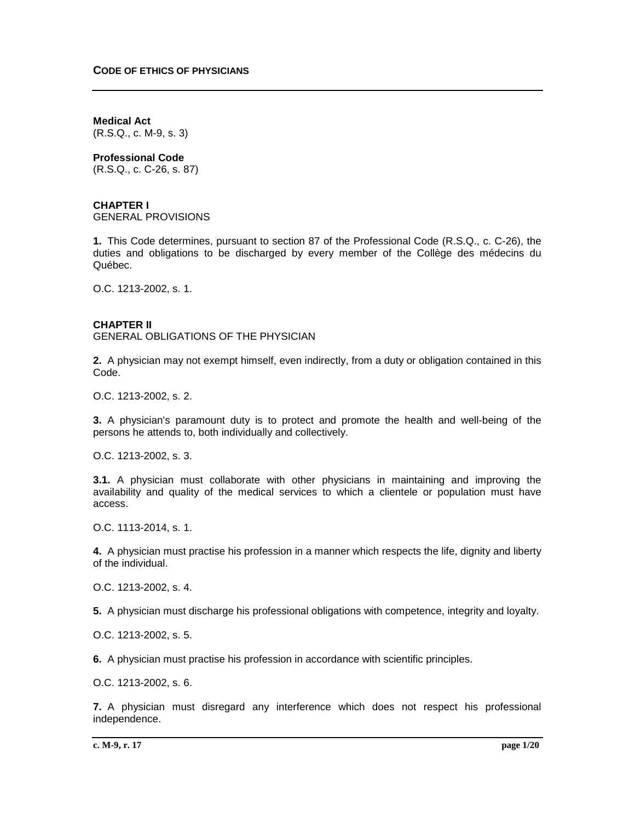**Medical Act** (R.S.Q., c. M-9, s. 3)

**Professional Code**

(R.S.Q., c. C-26, s. 87)

# **CHAPTER I**

GENERAL PROVISIONS

**1.** This Code determines, pursuant to section 87 of the Professional Code (R.S.Q., c. C-26), the duties and obligations to be discharged by every member of the Collège des médecins du Québec.

O.C. 1213-2002, s. 1.

# **CHAPTER II**

GENERAL OBLIGATIONS OF THE PHYSICIAN

**2.** A physician may not exempt himself, even indirectly, from a duty or obligation contained in this Code.

O.C. 1213-2002, s. 2.

**3.** A physician's paramount duty is to protect and promote the health and well-being of the persons he attends to, both individually and collectively.

O.C. 1213-2002, s. 3.

**3.1.** A physician must collaborate with other physicians in maintaining and improving the availability and quality of the medical services to which a clientele or population must have access.

O.C. 1113-2014, s. 1.

**4.** A physician must practise his profession in a manner which respects the life, dignity and liberty of the individual.

O.C. 1213-2002, s. 4.

**5.** A physician must discharge his professional obligations with competence, integrity and loyalty.

O.C. 1213-2002, s. 5.

**6.** A physician must practise his profession in accordance with scientific principles.

O.C. 1213-2002, s. 6.

**7.** A physician must disregard any interference which does not respect his professional independence.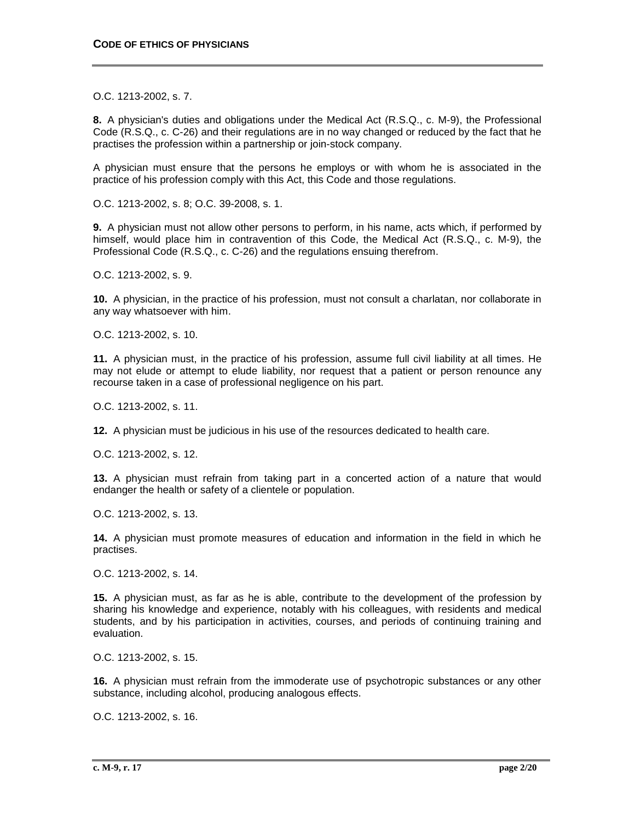O.C. 1213-2002, s. 7.

**8.** A physician's duties and obligations under the Medical Act (R.S.Q., c. M-9), the Professional Code (R.S.Q., c. C-26) and their regulations are in no way changed or reduced by the fact that he practises the profession within a partnership or join-stock company.

A physician must ensure that the persons he employs or with whom he is associated in the practice of his profession comply with this Act, this Code and those regulations.

O.C. 1213-2002, s. 8; O.C. 39-2008, s. 1.

**9.** A physician must not allow other persons to perform, in his name, acts which, if performed by himself, would place him in contravention of this Code, the Medical Act (R.S.Q., c. M-9), the Professional Code (R.S.Q., c. C-26) and the regulations ensuing therefrom.

O.C. 1213-2002, s. 9.

**10.** A physician, in the practice of his profession, must not consult a charlatan, nor collaborate in any way whatsoever with him.

O.C. 1213-2002, s. 10.

**11.** A physician must, in the practice of his profession, assume full civil liability at all times. He may not elude or attempt to elude liability, nor request that a patient or person renounce any recourse taken in a case of professional negligence on his part.

O.C. 1213-2002, s. 11.

**12.** A physician must be judicious in his use of the resources dedicated to health care.

O.C. 1213-2002, s. 12.

**13.** A physician must refrain from taking part in a concerted action of a nature that would endanger the health or safety of a clientele or population.

O.C. 1213-2002, s. 13.

**14.** A physician must promote measures of education and information in the field in which he practises.

O.C. 1213-2002, s. 14.

**15.** A physician must, as far as he is able, contribute to the development of the profession by sharing his knowledge and experience, notably with his colleagues, with residents and medical students, and by his participation in activities, courses, and periods of continuing training and evaluation.

O.C. 1213-2002, s. 15.

**16.** A physician must refrain from the immoderate use of psychotropic substances or any other substance, including alcohol, producing analogous effects.

O.C. 1213-2002, s. 16.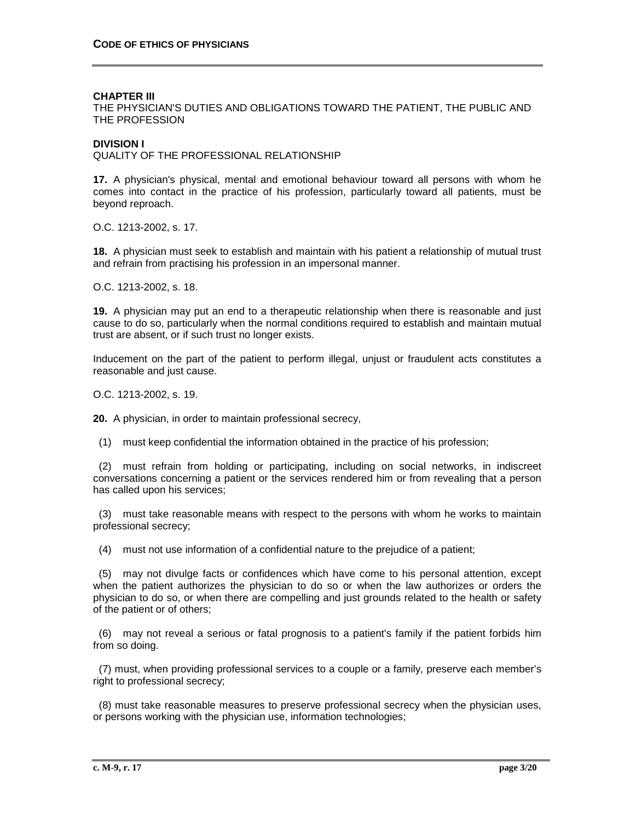#### **CHAPTER III**

THE PHYSICIAN'S DUTIES AND OBLIGATIONS TOWARD THE PATIENT, THE PUBLIC AND THE PROFESSION

### **DIVISION I**

QUALITY OF THE PROFESSIONAL RELATIONSHIP

**17.** A physician's physical, mental and emotional behaviour toward all persons with whom he comes into contact in the practice of his profession, particularly toward all patients, must be beyond reproach.

O.C. 1213-2002, s. 17.

**18.** A physician must seek to establish and maintain with his patient a relationship of mutual trust and refrain from practising his profession in an impersonal manner.

O.C. 1213-2002, s. 18.

**19.** A physician may put an end to a therapeutic relationship when there is reasonable and just cause to do so, particularly when the normal conditions required to establish and maintain mutual trust are absent, or if such trust no longer exists.

Inducement on the part of the patient to perform illegal, unjust or fraudulent acts constitutes a reasonable and just cause.

O.C. 1213-2002, s. 19.

**20.** A physician, in order to maintain professional secrecy,

(1) must keep confidential the information obtained in the practice of his profession;

 (2) must refrain from holding or participating, including on social networks, in indiscreet conversations concerning a patient or the services rendered him or from revealing that a person has called upon his services;

 (3) must take reasonable means with respect to the persons with whom he works to maintain professional secrecy;

(4) must not use information of a confidential nature to the prejudice of a patient;

 (5) may not divulge facts or confidences which have come to his personal attention, except when the patient authorizes the physician to do so or when the law authorizes or orders the physician to do so, or when there are compelling and just grounds related to the health or safety of the patient or of others;

 (6) may not reveal a serious or fatal prognosis to a patient's family if the patient forbids him from so doing.

 (7) must, when providing professional services to a couple or a family, preserve each member's right to professional secrecy;

 (8) must take reasonable measures to preserve professional secrecy when the physician uses, or persons working with the physician use, information technologies;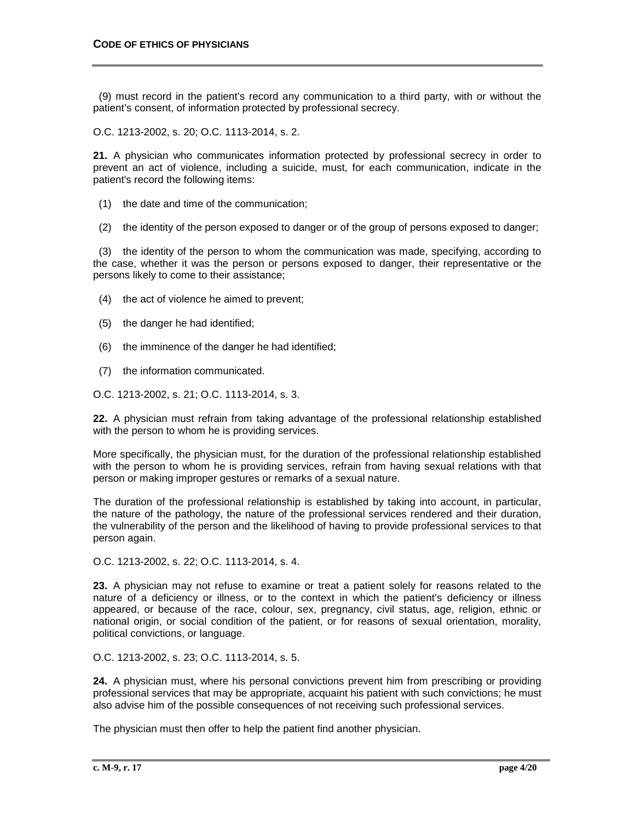(9) must record in the patient's record any communication to a third party, with or without the patient's consent, of information protected by professional secrecy.

O.C. 1213-2002, s. 20; O.C. 1113-2014, s. 2.

**21.** A physician who communicates information protected by professional secrecy in order to prevent an act of violence, including a suicide, must, for each communication, indicate in the patient's record the following items:

- (1) the date and time of the communication;
- (2) the identity of the person exposed to danger or of the group of persons exposed to danger;

 (3) the identity of the person to whom the communication was made, specifying, according to the case, whether it was the person or persons exposed to danger, their representative or the persons likely to come to their assistance;

- (4) the act of violence he aimed to prevent;
- (5) the danger he had identified;
- (6) the imminence of the danger he had identified;
- (7) the information communicated.

O.C. 1213-2002, s. 21; O.C. 1113-2014, s. 3.

**22.** A physician must refrain from taking advantage of the professional relationship established with the person to whom he is providing services.

More specifically, the physician must, for the duration of the professional relationship established with the person to whom he is providing services, refrain from having sexual relations with that person or making improper gestures or remarks of a sexual nature.

The duration of the professional relationship is established by taking into account, in particular, the nature of the pathology, the nature of the professional services rendered and their duration, the vulnerability of the person and the likelihood of having to provide professional services to that person again.

O.C. 1213-2002, s. 22; O.C. 1113-2014, s. 4.

**23.** A physician may not refuse to examine or treat a patient solely for reasons related to the nature of a deficiency or illness, or to the context in which the patient's deficiency or illness appeared, or because of the race, colour, sex, pregnancy, civil status, age, religion, ethnic or national origin, or social condition of the patient, or for reasons of sexual orientation, morality, political convictions, or language.

O.C. 1213-2002, s. 23; O.C. 1113-2014, s. 5.

**24.** A physician must, where his personal convictions prevent him from prescribing or providing professional services that may be appropriate, acquaint his patient with such convictions; he must also advise him of the possible consequences of not receiving such professional services.

The physician must then offer to help the patient find another physician.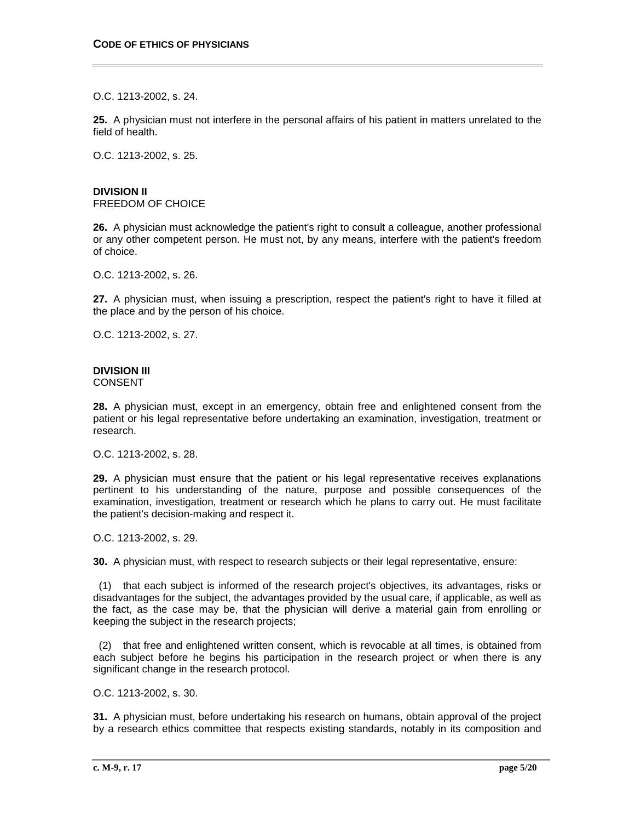O.C. 1213-2002, s. 24.

**25.** A physician must not interfere in the personal affairs of his patient in matters unrelated to the field of health.

O.C. 1213-2002, s. 25.

# **DIVISION II**

FREEDOM OF CHOICE

**26.** A physician must acknowledge the patient's right to consult a colleague, another professional or any other competent person. He must not, by any means, interfere with the patient's freedom of choice.

O.C. 1213-2002, s. 26.

**27.** A physician must, when issuing a prescription, respect the patient's right to have it filled at the place and by the person of his choice.

O.C. 1213-2002, s. 27.

# **DIVISION III**

CONSENT

**28.** A physician must, except in an emergency, obtain free and enlightened consent from the patient or his legal representative before undertaking an examination, investigation, treatment or research.

O.C. 1213-2002, s. 28.

**29.** A physician must ensure that the patient or his legal representative receives explanations pertinent to his understanding of the nature, purpose and possible consequences of the examination, investigation, treatment or research which he plans to carry out. He must facilitate the patient's decision-making and respect it.

O.C. 1213-2002, s. 29.

**30.** A physician must, with respect to research subjects or their legal representative, ensure:

 (1) that each subject is informed of the research project's objectives, its advantages, risks or disadvantages for the subject, the advantages provided by the usual care, if applicable, as well as the fact, as the case may be, that the physician will derive a material gain from enrolling or keeping the subject in the research projects;

 (2) that free and enlightened written consent, which is revocable at all times, is obtained from each subject before he begins his participation in the research project or when there is any significant change in the research protocol.

O.C. 1213-2002, s. 30.

**31.** A physician must, before undertaking his research on humans, obtain approval of the project by a research ethics committee that respects existing standards, notably in its composition and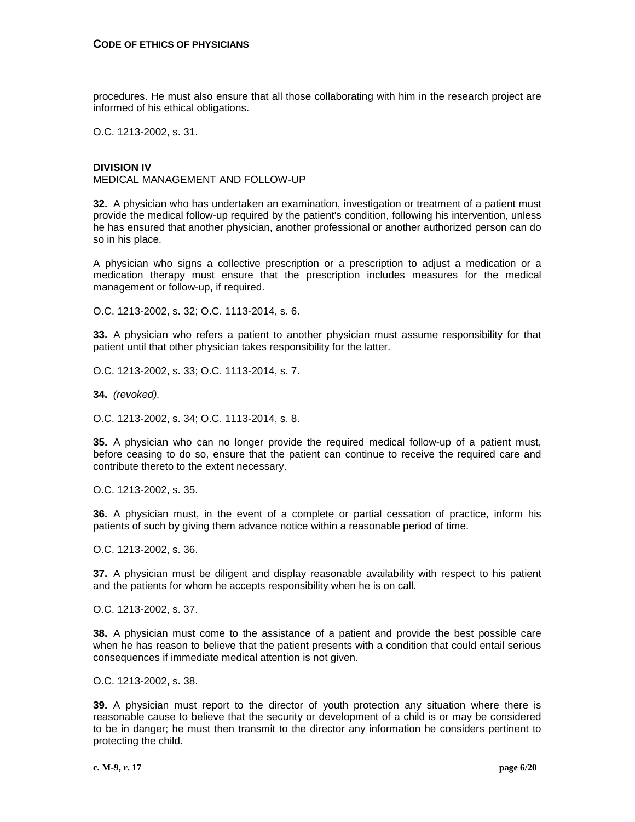procedures. He must also ensure that all those collaborating with him in the research project are informed of his ethical obligations.

O.C. 1213-2002, s. 31.

### **DIVISION IV**

MEDICAL MANAGEMENT AND FOLLOW-UP

**32.** A physician who has undertaken an examination, investigation or treatment of a patient must provide the medical follow-up required by the patient's condition, following his intervention, unless he has ensured that another physician, another professional or another authorized person can do so in his place.

A physician who signs a collective prescription or a prescription to adjust a medication or a medication therapy must ensure that the prescription includes measures for the medical management or follow-up, if required.

O.C. 1213-2002, s. 32; O.C. 1113-2014, s. 6.

**33.** A physician who refers a patient to another physician must assume responsibility for that patient until that other physician takes responsibility for the latter.

O.C. 1213-2002, s. 33; O.C. 1113-2014, s. 7.

**34.** *(revoked).*

O.C. 1213-2002, s. 34; O.C. 1113-2014, s. 8.

**35.** A physician who can no longer provide the required medical follow-up of a patient must, before ceasing to do so, ensure that the patient can continue to receive the required care and contribute thereto to the extent necessary.

O.C. 1213-2002, s. 35.

**36.** A physician must, in the event of a complete or partial cessation of practice, inform his patients of such by giving them advance notice within a reasonable period of time.

O.C. 1213-2002, s. 36.

**37.** A physician must be diligent and display reasonable availability with respect to his patient and the patients for whom he accepts responsibility when he is on call.

O.C. 1213-2002, s. 37.

**38.** A physician must come to the assistance of a patient and provide the best possible care when he has reason to believe that the patient presents with a condition that could entail serious consequences if immediate medical attention is not given.

O.C. 1213-2002, s. 38.

**39.** A physician must report to the director of youth protection any situation where there is reasonable cause to believe that the security or development of a child is or may be considered to be in danger; he must then transmit to the director any information he considers pertinent to protecting the child.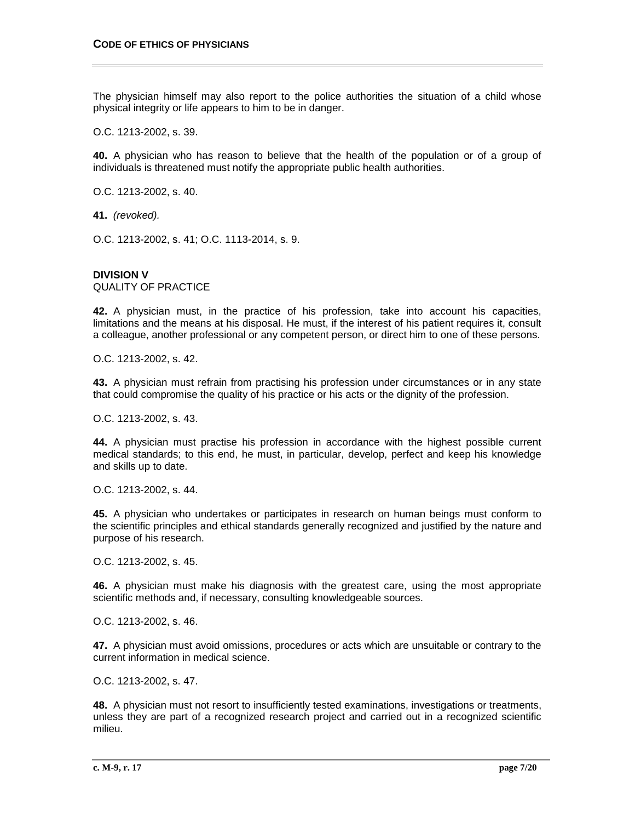The physician himself may also report to the police authorities the situation of a child whose physical integrity or life appears to him to be in danger.

O.C. 1213-2002, s. 39.

**40.** A physician who has reason to believe that the health of the population or of a group of individuals is threatened must notify the appropriate public health authorities.

O.C. 1213-2002, s. 40.

**41.** *(revoked).*

O.C. 1213-2002, s. 41; O.C. 1113-2014, s. 9.

# **DIVISION V**

QUALITY OF PRACTICE

**42.** A physician must, in the practice of his profession, take into account his capacities, limitations and the means at his disposal. He must, if the interest of his patient requires it, consult a colleague, another professional or any competent person, or direct him to one of these persons.

O.C. 1213-2002, s. 42.

**43.** A physician must refrain from practising his profession under circumstances or in any state that could compromise the quality of his practice or his acts or the dignity of the profession.

O.C. 1213-2002, s. 43.

**44.** A physician must practise his profession in accordance with the highest possible current medical standards; to this end, he must, in particular, develop, perfect and keep his knowledge and skills up to date.

O.C. 1213-2002, s. 44.

**45.** A physician who undertakes or participates in research on human beings must conform to the scientific principles and ethical standards generally recognized and justified by the nature and purpose of his research.

O.C. 1213-2002, s. 45.

**46.** A physician must make his diagnosis with the greatest care, using the most appropriate scientific methods and, if necessary, consulting knowledgeable sources.

O.C. 1213-2002, s. 46.

**47.** A physician must avoid omissions, procedures or acts which are unsuitable or contrary to the current information in medical science.

O.C. 1213-2002, s. 47.

**48.** A physician must not resort to insufficiently tested examinations, investigations or treatments, unless they are part of a recognized research project and carried out in a recognized scientific milieu.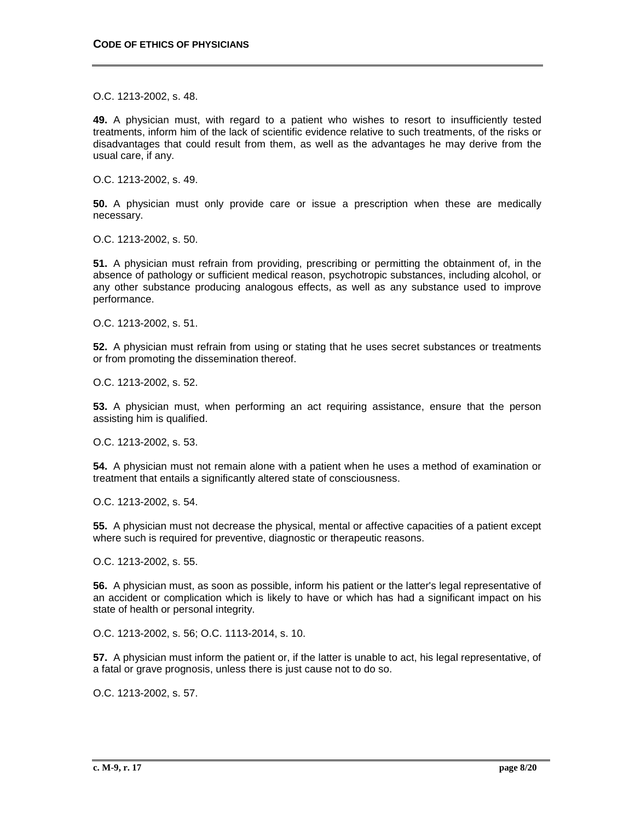O.C. 1213-2002, s. 48.

**49.** A physician must, with regard to a patient who wishes to resort to insufficiently tested treatments, inform him of the lack of scientific evidence relative to such treatments, of the risks or disadvantages that could result from them, as well as the advantages he may derive from the usual care, if any.

O.C. 1213-2002, s. 49.

**50.** A physician must only provide care or issue a prescription when these are medically necessary.

O.C. 1213-2002, s. 50.

**51.** A physician must refrain from providing, prescribing or permitting the obtainment of, in the absence of pathology or sufficient medical reason, psychotropic substances, including alcohol, or any other substance producing analogous effects, as well as any substance used to improve performance.

O.C. 1213-2002, s. 51.

**52.** A physician must refrain from using or stating that he uses secret substances or treatments or from promoting the dissemination thereof.

O.C. 1213-2002, s. 52.

**53.** A physician must, when performing an act requiring assistance, ensure that the person assisting him is qualified.

O.C. 1213-2002, s. 53.

**54.** A physician must not remain alone with a patient when he uses a method of examination or treatment that entails a significantly altered state of consciousness.

O.C. 1213-2002, s. 54.

**55.** A physician must not decrease the physical, mental or affective capacities of a patient except where such is required for preventive, diagnostic or therapeutic reasons.

O.C. 1213-2002, s. 55.

**56.** A physician must, as soon as possible, inform his patient or the latter's legal representative of an accident or complication which is likely to have or which has had a significant impact on his state of health or personal integrity.

O.C. 1213-2002, s. 56; O.C. 1113-2014, s. 10.

**57.** A physician must inform the patient or, if the latter is unable to act, his legal representative, of a fatal or grave prognosis, unless there is just cause not to do so.

O.C. 1213-2002, s. 57.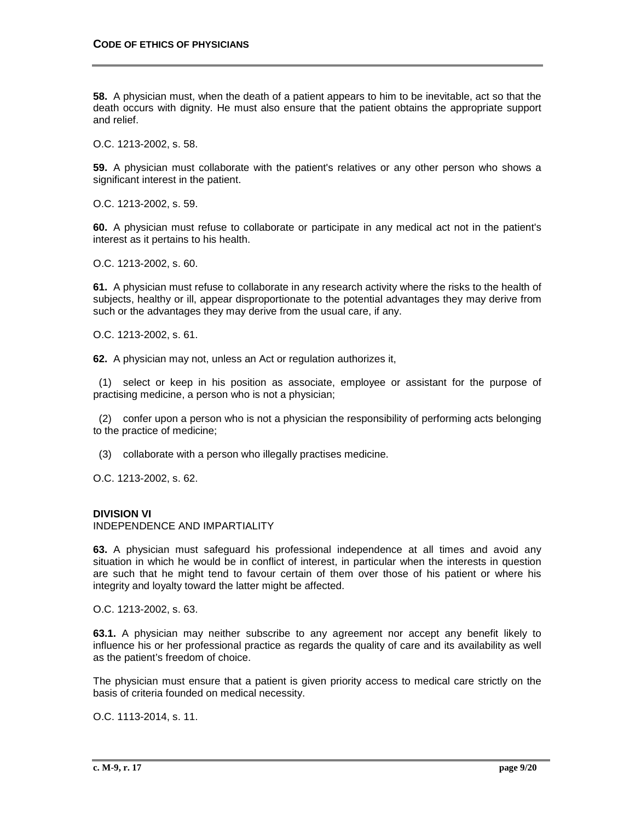**58.** A physician must, when the death of a patient appears to him to be inevitable, act so that the death occurs with dignity. He must also ensure that the patient obtains the appropriate support and relief.

O.C. 1213-2002, s. 58.

**59.** A physician must collaborate with the patient's relatives or any other person who shows a significant interest in the patient.

O.C. 1213-2002, s. 59.

**60.** A physician must refuse to collaborate or participate in any medical act not in the patient's interest as it pertains to his health.

O.C. 1213-2002, s. 60.

**61.** A physician must refuse to collaborate in any research activity where the risks to the health of subjects, healthy or ill, appear disproportionate to the potential advantages they may derive from such or the advantages they may derive from the usual care, if any.

O.C. 1213-2002, s. 61.

**62.** A physician may not, unless an Act or regulation authorizes it,

 (1) select or keep in his position as associate, employee or assistant for the purpose of practising medicine, a person who is not a physician;

 (2) confer upon a person who is not a physician the responsibility of performing acts belonging to the practice of medicine;

(3) collaborate with a person who illegally practises medicine.

O.C. 1213-2002, s. 62.

# **DIVISION VI**

INDEPENDENCE AND IMPARTIALITY

**63.** A physician must safeguard his professional independence at all times and avoid any situation in which he would be in conflict of interest, in particular when the interests in question are such that he might tend to favour certain of them over those of his patient or where his integrity and loyalty toward the latter might be affected.

O.C. 1213-2002, s. 63.

**63.1.** A physician may neither subscribe to any agreement nor accept any benefit likely to influence his or her professional practice as regards the quality of care and its availability as well as the patient's freedom of choice.

The physician must ensure that a patient is given priority access to medical care strictly on the basis of criteria founded on medical necessity.

O.C. 1113-2014, s. 11.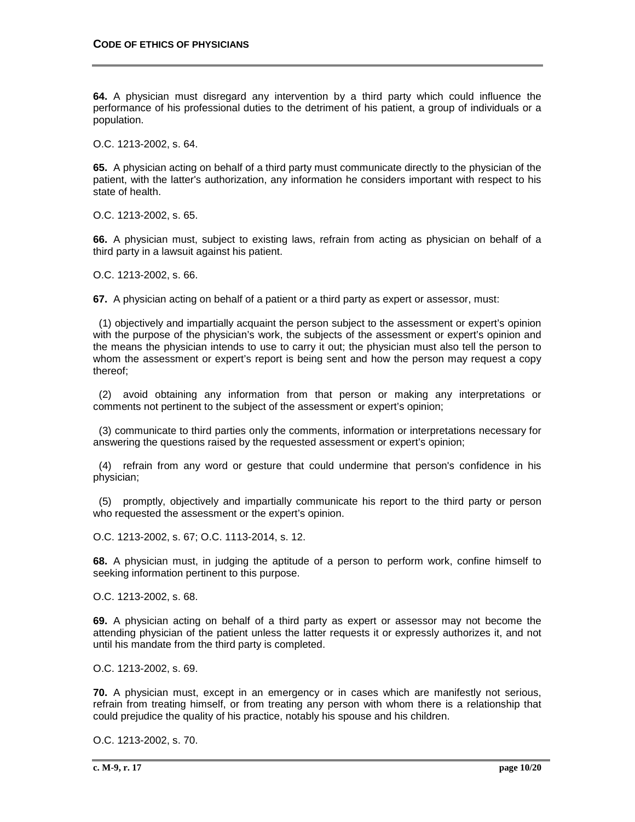**64.** A physician must disregard any intervention by a third party which could influence the performance of his professional duties to the detriment of his patient, a group of individuals or a population.

O.C. 1213-2002, s. 64.

**65.** A physician acting on behalf of a third party must communicate directly to the physician of the patient, with the latter's authorization, any information he considers important with respect to his state of health.

O.C. 1213-2002, s. 65.

**66.** A physician must, subject to existing laws, refrain from acting as physician on behalf of a third party in a lawsuit against his patient.

O.C. 1213-2002, s. 66.

**67.** A physician acting on behalf of a patient or a third party as expert or assessor, must:

 (1) objectively and impartially acquaint the person subject to the assessment or expert's opinion with the purpose of the physician's work, the subjects of the assessment or expert's opinion and the means the physician intends to use to carry it out; the physician must also tell the person to whom the assessment or expert's report is being sent and how the person may request a copy thereof;

 (2) avoid obtaining any information from that person or making any interpretations or comments not pertinent to the subject of the assessment or expert's opinion;

 (3) communicate to third parties only the comments, information or interpretations necessary for answering the questions raised by the requested assessment or expert's opinion;

 (4) refrain from any word or gesture that could undermine that person's confidence in his physician;

 (5) promptly, objectively and impartially communicate his report to the third party or person who requested the assessment or the expert's opinion.

O.C. 1213-2002, s. 67; O.C. 1113-2014, s. 12.

**68.** A physician must, in judging the aptitude of a person to perform work, confine himself to seeking information pertinent to this purpose.

O.C. 1213-2002, s. 68.

**69.** A physician acting on behalf of a third party as expert or assessor may not become the attending physician of the patient unless the latter requests it or expressly authorizes it, and not until his mandate from the third party is completed.

O.C. 1213-2002, s. 69.

**70.** A physician must, except in an emergency or in cases which are manifestly not serious, refrain from treating himself, or from treating any person with whom there is a relationship that could prejudice the quality of his practice, notably his spouse and his children.

O.C. 1213-2002, s. 70.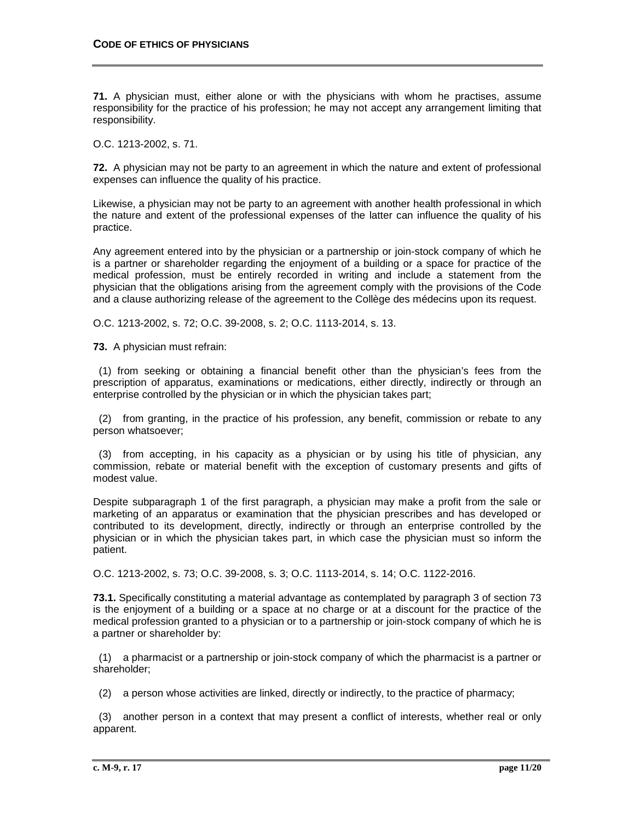**71.** A physician must, either alone or with the physicians with whom he practises, assume responsibility for the practice of his profession; he may not accept any arrangement limiting that responsibility.

O.C. 1213-2002, s. 71.

**72.** A physician may not be party to an agreement in which the nature and extent of professional expenses can influence the quality of his practice.

Likewise, a physician may not be party to an agreement with another health professional in which the nature and extent of the professional expenses of the latter can influence the quality of his practice.

Any agreement entered into by the physician or a partnership or join-stock company of which he is a partner or shareholder regarding the enjoyment of a building or a space for practice of the medical profession, must be entirely recorded in writing and include a statement from the physician that the obligations arising from the agreement comply with the provisions of the Code and a clause authorizing release of the agreement to the Collège des médecins upon its request.

O.C. 1213-2002, s. 72; O.C. 39-2008, s. 2; O.C. 1113-2014, s. 13.

**73.** A physician must refrain:

 (1) from seeking or obtaining a financial benefit other than the physician's fees from the prescription of apparatus, examinations or medications, either directly, indirectly or through an enterprise controlled by the physician or in which the physician takes part;

 (2) from granting, in the practice of his profession, any benefit, commission or rebate to any person whatsoever;

 (3) from accepting, in his capacity as a physician or by using his title of physician, any commission, rebate or material benefit with the exception of customary presents and gifts of modest value.

Despite subparagraph 1 of the first paragraph, a physician may make a profit from the sale or marketing of an apparatus or examination that the physician prescribes and has developed or contributed to its development, directly, indirectly or through an enterprise controlled by the physician or in which the physician takes part, in which case the physician must so inform the patient.

O.C. 1213-2002, s. 73; O.C. 39-2008, s. 3; O.C. 1113-2014, s. 14; O.C. 1122-2016.

**73.1.** Specifically constituting a material advantage as contemplated by paragraph 3 of section 73 is the enjoyment of a building or a space at no charge or at a discount for the practice of the medical profession granted to a physician or to a partnership or join-stock company of which he is a partner or shareholder by:

 (1) a pharmacist or a partnership or join-stock company of which the pharmacist is a partner or shareholder;

(2) a person whose activities are linked, directly or indirectly, to the practice of pharmacy;

 (3) another person in a context that may present a conflict of interests, whether real or only apparent.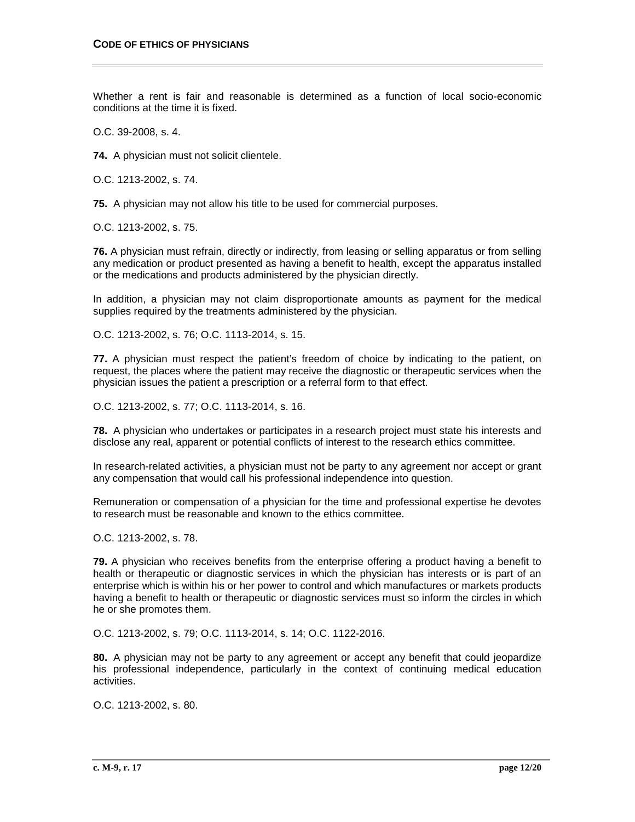Whether a rent is fair and reasonable is determined as a function of local socio-economic conditions at the time it is fixed.

O.C. 39-2008, s. 4.

**74.** A physician must not solicit clientele.

O.C. 1213-2002, s. 74.

**75.** A physician may not allow his title to be used for commercial purposes.

O.C. 1213-2002, s. 75.

**76.** A physician must refrain, directly or indirectly, from leasing or selling apparatus or from selling any medication or product presented as having a benefit to health, except the apparatus installed or the medications and products administered by the physician directly.

In addition, a physician may not claim disproportionate amounts as payment for the medical supplies required by the treatments administered by the physician.

O.C. 1213-2002, s. 76; O.C. 1113-2014, s. 15.

**77.** A physician must respect the patient's freedom of choice by indicating to the patient, on request, the places where the patient may receive the diagnostic or therapeutic services when the physician issues the patient a prescription or a referral form to that effect.

O.C. 1213-2002, s. 77; O.C. 1113-2014, s. 16.

**78.** A physician who undertakes or participates in a research project must state his interests and disclose any real, apparent or potential conflicts of interest to the research ethics committee.

In research-related activities, a physician must not be party to any agreement nor accept or grant any compensation that would call his professional independence into question.

Remuneration or compensation of a physician for the time and professional expertise he devotes to research must be reasonable and known to the ethics committee.

O.C. 1213-2002, s. 78.

**79.** A physician who receives benefits from the enterprise offering a product having a benefit to health or therapeutic or diagnostic services in which the physician has interests or is part of an enterprise which is within his or her power to control and which manufactures or markets products having a benefit to health or therapeutic or diagnostic services must so inform the circles in which he or she promotes them.

O.C. 1213-2002, s. 79; O.C. 1113-2014, s. 14; O.C. 1122-2016.

**80.** A physician may not be party to any agreement or accept any benefit that could jeopardize his professional independence, particularly in the context of continuing medical education activities.

O.C. 1213-2002, s. 80.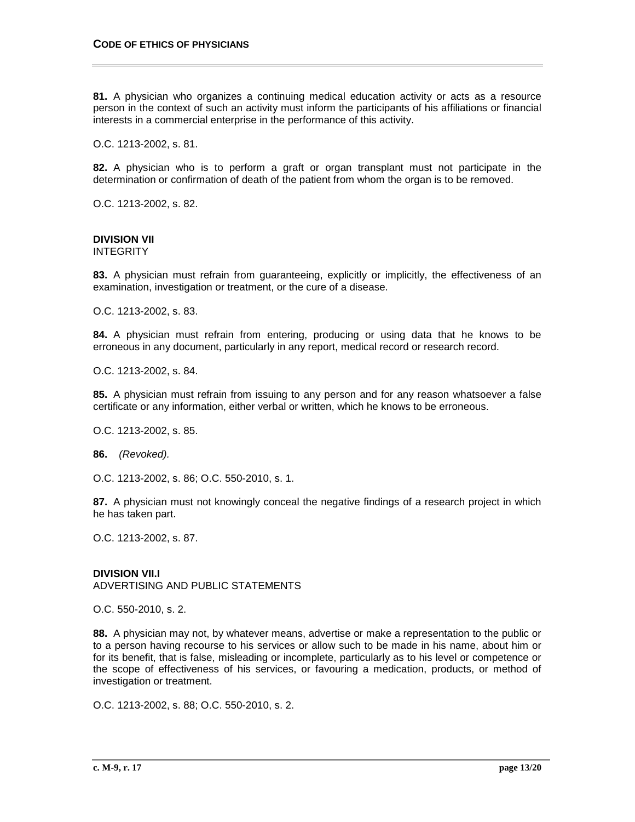**81.** A physician who organizes a continuing medical education activity or acts as a resource person in the context of such an activity must inform the participants of his affiliations or financial interests in a commercial enterprise in the performance of this activity.

O.C. 1213-2002, s. 81.

**82.** A physician who is to perform a graft or organ transplant must not participate in the determination or confirmation of death of the patient from whom the organ is to be removed.

O.C. 1213-2002, s. 82.

# **DIVISION VII**

INTEGRITY

**83.** A physician must refrain from guaranteeing, explicitly or implicitly, the effectiveness of an examination, investigation or treatment, or the cure of a disease.

O.C. 1213-2002, s. 83.

**84.** A physician must refrain from entering, producing or using data that he knows to be erroneous in any document, particularly in any report, medical record or research record.

O.C. 1213-2002, s. 84.

**85.** A physician must refrain from issuing to any person and for any reason whatsoever a false certificate or any information, either verbal or written, which he knows to be erroneous.

O.C. 1213-2002, s. 85.

**86.** *(Revoked).*

O.C. 1213-2002, s. 86; O.C. 550-2010, s. 1.

**87.** A physician must not knowingly conceal the negative findings of a research project in which he has taken part.

O.C. 1213-2002, s. 87.

**DIVISION VII.I** ADVERTISING AND PUBLIC STATEMENTS

O.C. 550-2010, s. 2.

**88.** A physician may not, by whatever means, advertise or make a representation to the public or to a person having recourse to his services or allow such to be made in his name, about him or for its benefit, that is false, misleading or incomplete, particularly as to his level or competence or the scope of effectiveness of his services, or favouring a medication, products, or method of investigation or treatment.

O.C. 1213-2002, s. 88; O.C. 550-2010, s. 2.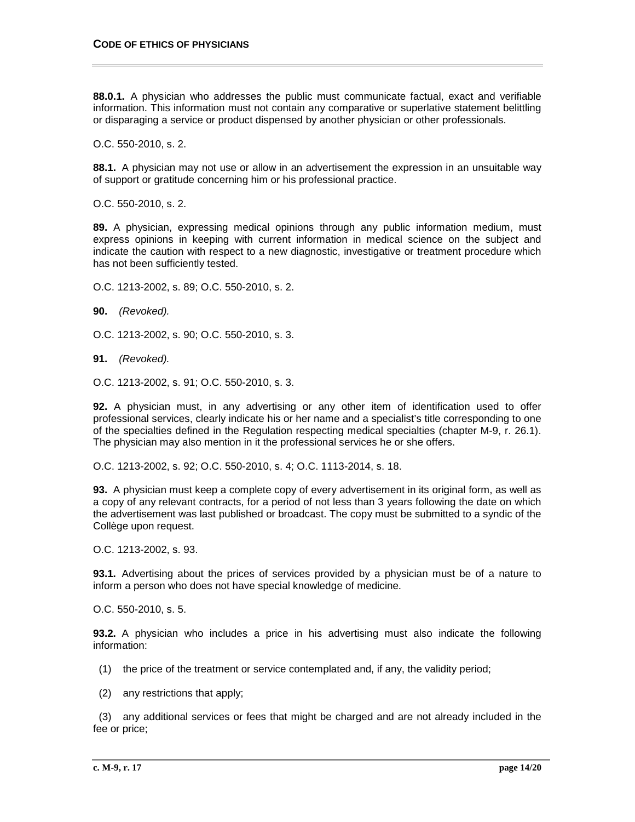**88.0.1.** A physician who addresses the public must communicate factual, exact and verifiable information. This information must not contain any comparative or superlative statement belittling or disparaging a service or product dispensed by another physician or other professionals.

O.C. 550-2010, s. 2.

**88.1.** A physician may not use or allow in an advertisement the expression in an unsuitable way of support or gratitude concerning him or his professional practice.

O.C. 550-2010, s. 2.

**89.** A physician, expressing medical opinions through any public information medium, must express opinions in keeping with current information in medical science on the subject and indicate the caution with respect to a new diagnostic, investigative or treatment procedure which has not been sufficiently tested.

O.C. 1213-2002, s. 89; O.C. 550-2010, s. 2.

**90.** *(Revoked).*

O.C. 1213-2002, s. 90; O.C. 550-2010, s. 3.

**91.** *(Revoked).*

O.C. 1213-2002, s. 91; O.C. 550-2010, s. 3.

**92.** A physician must, in any advertising or any other item of identification used to offer professional services, clearly indicate his or her name and a specialist's title corresponding to one of the specialties defined in the Regulation respecting medical specialties (chapter M-9, r. 26.1). The physician may also mention in it the professional services he or she offers.

O.C. 1213-2002, s. 92; O.C. 550-2010, s. 4; O.C. 1113-2014, s. 18.

**93.** A physician must keep a complete copy of every advertisement in its original form, as well as a copy of any relevant contracts, for a period of not less than 3 years following the date on which the advertisement was last published or broadcast. The copy must be submitted to a syndic of the Collège upon request.

O.C. 1213-2002, s. 93.

**93.1.** Advertising about the prices of services provided by a physician must be of a nature to inform a person who does not have special knowledge of medicine.

O.C. 550-2010, s. 5.

**93.2.** A physician who includes a price in his advertising must also indicate the following information:

- (1) the price of the treatment or service contemplated and, if any, the validity period;
- (2) any restrictions that apply;

 (3) any additional services or fees that might be charged and are not already included in the fee or price;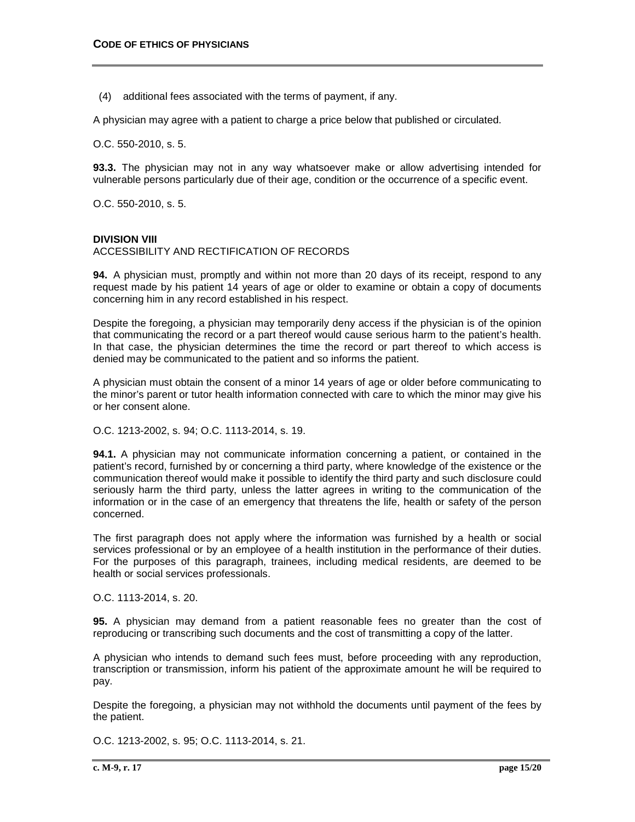(4) additional fees associated with the terms of payment, if any.

A physician may agree with a patient to charge a price below that published or circulated.

O.C. 550-2010, s. 5.

**93.3.** The physician may not in any way whatsoever make or allow advertising intended for vulnerable persons particularly due of their age, condition or the occurrence of a specific event.

O.C. 550-2010, s. 5.

#### **DIVISION VIII**

ACCESSIBILITY AND RECTIFICATION OF RECORDS

**94.** A physician must, promptly and within not more than 20 days of its receipt, respond to any request made by his patient 14 years of age or older to examine or obtain a copy of documents concerning him in any record established in his respect.

Despite the foregoing, a physician may temporarily deny access if the physician is of the opinion that communicating the record or a part thereof would cause serious harm to the patient's health. In that case, the physician determines the time the record or part thereof to which access is denied may be communicated to the patient and so informs the patient.

A physician must obtain the consent of a minor 14 years of age or older before communicating to the minor's parent or tutor health information connected with care to which the minor may give his or her consent alone.

O.C. 1213-2002, s. 94; O.C. 1113-2014, s. 19.

**94.1.** A physician may not communicate information concerning a patient, or contained in the patient's record, furnished by or concerning a third party, where knowledge of the existence or the communication thereof would make it possible to identify the third party and such disclosure could seriously harm the third party, unless the latter agrees in writing to the communication of the information or in the case of an emergency that threatens the life, health or safety of the person concerned.

The first paragraph does not apply where the information was furnished by a health or social services professional or by an employee of a health institution in the performance of their duties. For the purposes of this paragraph, trainees, including medical residents, are deemed to be health or social services professionals.

O.C. 1113-2014, s. 20.

**95.** A physician may demand from a patient reasonable fees no greater than the cost of reproducing or transcribing such documents and the cost of transmitting a copy of the latter.

A physician who intends to demand such fees must, before proceeding with any reproduction, transcription or transmission, inform his patient of the approximate amount he will be required to pay.

Despite the foregoing, a physician may not withhold the documents until payment of the fees by the patient.

O.C. 1213-2002, s. 95; O.C. 1113-2014, s. 21.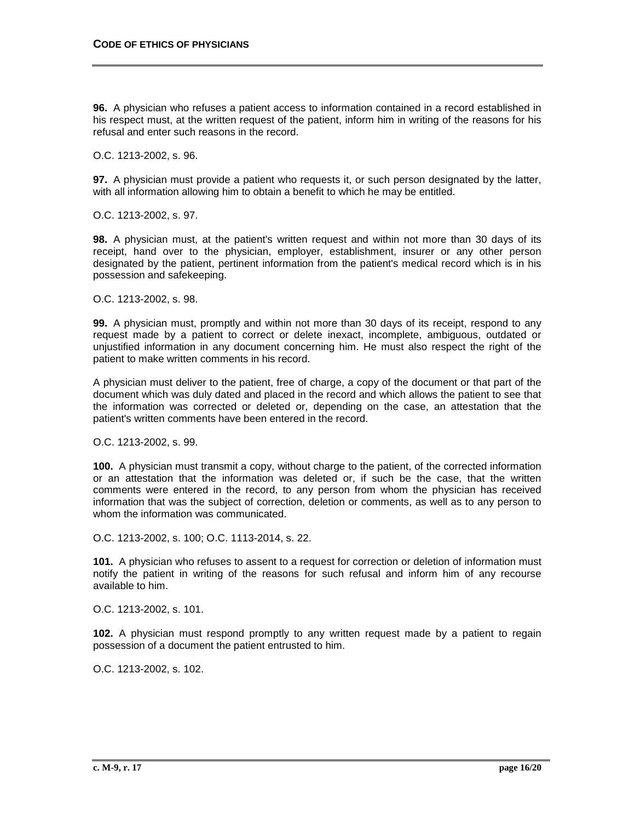**96.** A physician who refuses a patient access to information contained in a record established in his respect must, at the written request of the patient, inform him in writing of the reasons for his refusal and enter such reasons in the record.

O.C. 1213-2002, s. 96.

**97.** A physician must provide a patient who requests it, or such person designated by the latter, with all information allowing him to obtain a benefit to which he may be entitled.

O.C. 1213-2002, s. 97.

**98.** A physician must, at the patient's written request and within not more than 30 days of its receipt, hand over to the physician, employer, establishment, insurer or any other person designated by the patient, pertinent information from the patient's medical record which is in his possession and safekeeping.

O.C. 1213-2002, s. 98.

**99.** A physician must, promptly and within not more than 30 days of its receipt, respond to any request made by a patient to correct or delete inexact, incomplete, ambiguous, outdated or unjustified information in any document concerning him. He must also respect the right of the patient to make written comments in his record.

A physician must deliver to the patient, free of charge, a copy of the document or that part of the document which was duly dated and placed in the record and which allows the patient to see that the information was corrected or deleted or, depending on the case, an attestation that the patient's written comments have been entered in the record.

O.C. 1213-2002, s. 99.

**100.** A physician must transmit a copy, without charge to the patient, of the corrected information or an attestation that the information was deleted or, if such be the case, that the written comments were entered in the record, to any person from whom the physician has received information that was the subject of correction, deletion or comments, as well as to any person to whom the information was communicated.

O.C. 1213-2002, s. 100; O.C. 1113-2014, s. 22.

**101.** A physician who refuses to assent to a request for correction or deletion of information must notify the patient in writing of the reasons for such refusal and inform him of any recourse available to him.

O.C. 1213-2002, s. 101.

**102.** A physician must respond promptly to any written request made by a patient to regain possession of a document the patient entrusted to him.

O.C. 1213-2002, s. 102.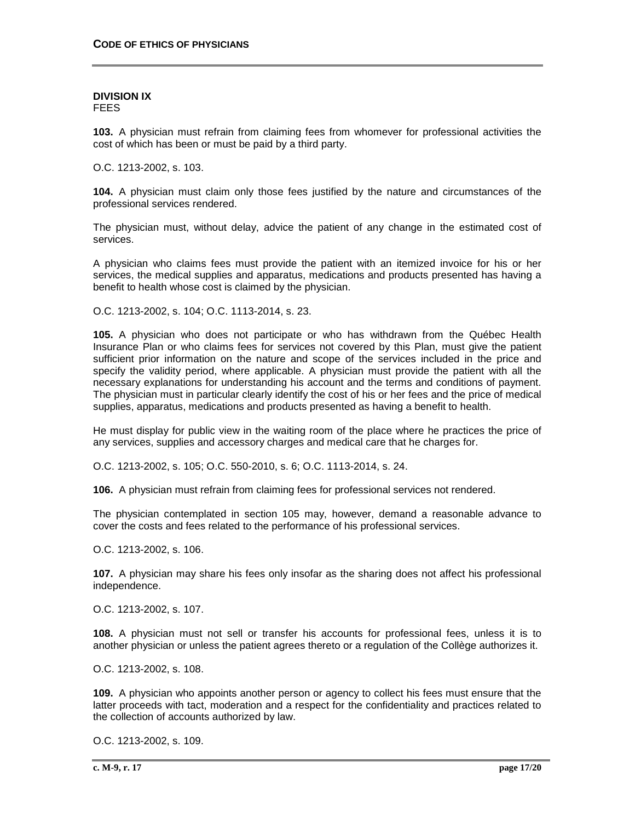#### **DIVISION IX** FEES

**103.** A physician must refrain from claiming fees from whomever for professional activities the cost of which has been or must be paid by a third party.

O.C. 1213-2002, s. 103.

**104.** A physician must claim only those fees justified by the nature and circumstances of the professional services rendered.

The physician must, without delay, advice the patient of any change in the estimated cost of services.

A physician who claims fees must provide the patient with an itemized invoice for his or her services, the medical supplies and apparatus, medications and products presented has having a benefit to health whose cost is claimed by the physician.

O.C. 1213-2002, s. 104; O.C. 1113-2014, s. 23.

**105.** A physician who does not participate or who has withdrawn from the Québec Health Insurance Plan or who claims fees for services not covered by this Plan, must give the patient sufficient prior information on the nature and scope of the services included in the price and specify the validity period, where applicable. A physician must provide the patient with all the necessary explanations for understanding his account and the terms and conditions of payment. The physician must in particular clearly identify the cost of his or her fees and the price of medical supplies, apparatus, medications and products presented as having a benefit to health.

He must display for public view in the waiting room of the place where he practices the price of any services, supplies and accessory charges and medical care that he charges for.

O.C. 1213-2002, s. 105; O.C. 550-2010, s. 6; O.C. 1113-2014, s. 24.

**106.** A physician must refrain from claiming fees for professional services not rendered.

The physician contemplated in section 105 may, however, demand a reasonable advance to cover the costs and fees related to the performance of his professional services.

O.C. 1213-2002, s. 106.

**107.** A physician may share his fees only insofar as the sharing does not affect his professional independence.

O.C. 1213-2002, s. 107.

**108.** A physician must not sell or transfer his accounts for professional fees, unless it is to another physician or unless the patient agrees thereto or a regulation of the Collège authorizes it.

O.C. 1213-2002, s. 108.

**109.** A physician who appoints another person or agency to collect his fees must ensure that the latter proceeds with tact, moderation and a respect for the confidentiality and practices related to the collection of accounts authorized by law.

O.C. 1213-2002, s. 109.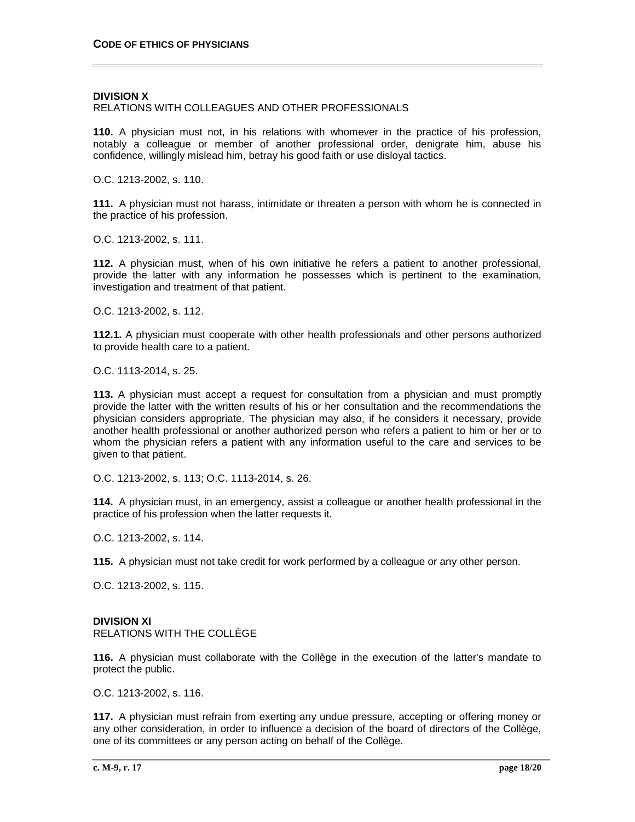#### **DIVISION X**

### RELATIONS WITH COLLEAGUES AND OTHER PROFESSIONALS

**110.** A physician must not, in his relations with whomever in the practice of his profession, notably a colleague or member of another professional order, denigrate him, abuse his confidence, willingly mislead him, betray his good faith or use disloyal tactics.

O.C. 1213-2002, s. 110.

**111.** A physician must not harass, intimidate or threaten a person with whom he is connected in the practice of his profession.

O.C. 1213-2002, s. 111.

**112.** A physician must, when of his own initiative he refers a patient to another professional, provide the latter with any information he possesses which is pertinent to the examination, investigation and treatment of that patient.

O.C. 1213-2002, s. 112.

**112.1.** A physician must cooperate with other health professionals and other persons authorized to provide health care to a patient.

O.C. 1113-2014, s. 25.

**113.** A physician must accept a request for consultation from a physician and must promptly provide the latter with the written results of his or her consultation and the recommendations the physician considers appropriate. The physician may also, if he considers it necessary, provide another health professional or another authorized person who refers a patient to him or her or to whom the physician refers a patient with any information useful to the care and services to be given to that patient.

O.C. 1213-2002, s. 113; O.C. 1113-2014, s. 26.

**114.** A physician must, in an emergency, assist a colleague or another health professional in the practice of his profession when the latter requests it.

O.C. 1213-2002, s. 114.

**115.** A physician must not take credit for work performed by a colleague or any other person.

O.C. 1213-2002, s. 115.

# **DIVISION XI**

RELATIONS WITH THE COLLÈGE

**116.** A physician must collaborate with the Collège in the execution of the latter's mandate to protect the public.

O.C. 1213-2002, s. 116.

**117.** A physician must refrain from exerting any undue pressure, accepting or offering money or any other consideration, in order to influence a decision of the board of directors of the Collège, one of its committees or any person acting on behalf of the Collège.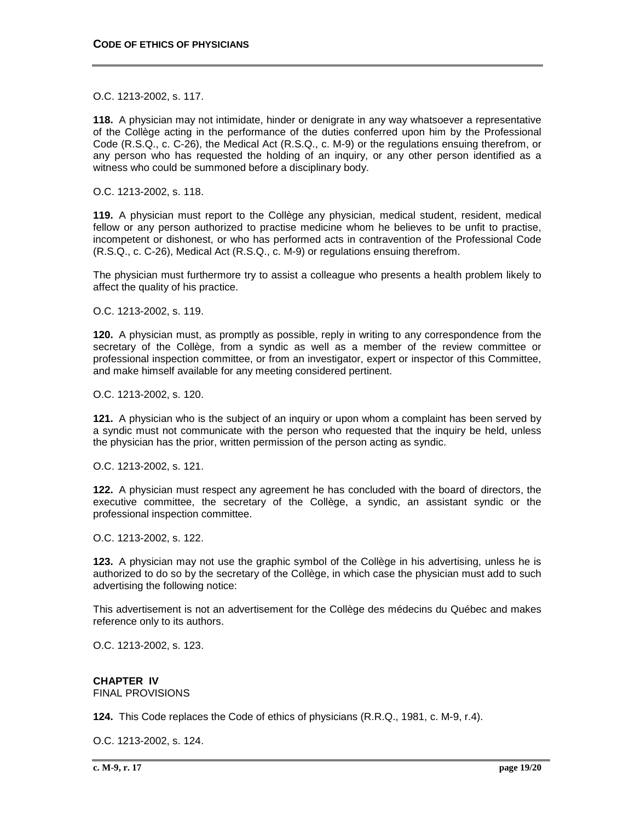O.C. 1213-2002, s. 117.

**118.** A physician may not intimidate, hinder or denigrate in any way whatsoever a representative of the Collège acting in the performance of the duties conferred upon him by the Professional Code (R.S.Q., c. C-26), the Medical Act (R.S.Q., c. M-9) or the regulations ensuing therefrom, or any person who has requested the holding of an inquiry, or any other person identified as a witness who could be summoned before a disciplinary body.

O.C. 1213-2002, s. 118.

**119.** A physician must report to the Collège any physician, medical student, resident, medical fellow or any person authorized to practise medicine whom he believes to be unfit to practise, incompetent or dishonest, or who has performed acts in contravention of the Professional Code (R.S.Q., c. C-26), Medical Act (R.S.Q., c. M-9) or regulations ensuing therefrom.

The physician must furthermore try to assist a colleague who presents a health problem likely to affect the quality of his practice.

O.C. 1213-2002, s. 119.

**120.** A physician must, as promptly as possible, reply in writing to any correspondence from the secretary of the Collège, from a syndic as well as a member of the review committee or professional inspection committee, or from an investigator, expert or inspector of this Committee, and make himself available for any meeting considered pertinent.

O.C. 1213-2002, s. 120.

**121.** A physician who is the subject of an inquiry or upon whom a complaint has been served by a syndic must not communicate with the person who requested that the inquiry be held, unless the physician has the prior, written permission of the person acting as syndic.

O.C. 1213-2002, s. 121.

**122.** A physician must respect any agreement he has concluded with the board of directors, the executive committee, the secretary of the Collège, a syndic, an assistant syndic or the professional inspection committee.

O.C. 1213-2002, s. 122.

**123.** A physician may not use the graphic symbol of the Collège in his advertising, unless he is authorized to do so by the secretary of the Collège, in which case the physician must add to such advertising the following notice:

This advertisement is not an advertisement for the Collège des médecins du Québec and makes reference only to its authors.

O.C. 1213-2002, s. 123.

**CHAPTER IV** FINAL PROVISIONS

**124.** This Code replaces the Code of ethics of physicians (R.R.Q., 1981, c. M-9, r.4).

O.C. 1213-2002, s. 124.